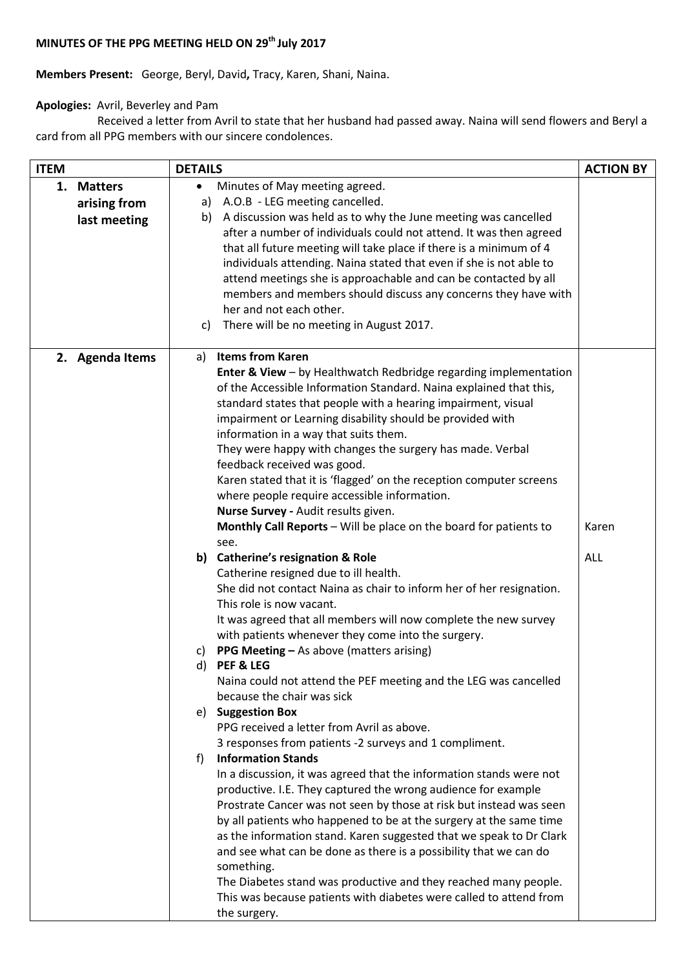## **MINUTES OF THE PPG MEETING HELD ON 29 th July 2017**

**Members Present:** George, Beryl, David**,** Tracy, Karen, Shani, Naina.

## **Apologies:** Avril, Beverley and Pam

 Received a letter from Avril to state that her husband had passed away. Naina will send flowers and Beryl a card from all PPG members with our sincere condolences.

| <b>ITEM</b> |                 | <b>DETAILS</b> |                                                                                                                                          | <b>ACTION BY</b> |
|-------------|-----------------|----------------|------------------------------------------------------------------------------------------------------------------------------------------|------------------|
| 1.          | <b>Matters</b>  | ٠              | Minutes of May meeting agreed.                                                                                                           |                  |
|             | arising from    |                | a) A.O.B - LEG meeting cancelled.                                                                                                        |                  |
|             | last meeting    |                | b) A discussion was held as to why the June meeting was cancelled                                                                        |                  |
|             |                 |                | after a number of individuals could not attend. It was then agreed                                                                       |                  |
|             |                 |                | that all future meeting will take place if there is a minimum of 4                                                                       |                  |
|             |                 |                | individuals attending. Naina stated that even if she is not able to                                                                      |                  |
|             |                 |                | attend meetings she is approachable and can be contacted by all                                                                          |                  |
|             |                 |                | members and members should discuss any concerns they have with                                                                           |                  |
|             |                 |                | her and not each other.                                                                                                                  |                  |
|             |                 | c)             | There will be no meeting in August 2017.                                                                                                 |                  |
|             |                 |                |                                                                                                                                          |                  |
|             | 2. Agenda Items | a)             | <b>Items from Karen</b>                                                                                                                  |                  |
|             |                 |                | <b>Enter &amp; View - by Healthwatch Redbridge regarding implementation</b>                                                              |                  |
|             |                 |                | of the Accessible Information Standard. Naina explained that this,                                                                       |                  |
|             |                 |                | standard states that people with a hearing impairment, visual                                                                            |                  |
|             |                 |                | impairment or Learning disability should be provided with                                                                                |                  |
|             |                 |                | information in a way that suits them.                                                                                                    |                  |
|             |                 |                | They were happy with changes the surgery has made. Verbal                                                                                |                  |
|             |                 |                | feedback received was good.                                                                                                              |                  |
|             |                 |                | Karen stated that it is 'flagged' on the reception computer screens                                                                      |                  |
|             |                 |                | where people require accessible information.                                                                                             |                  |
|             |                 |                | Nurse Survey - Audit results given.                                                                                                      |                  |
|             |                 |                | Monthly Call Reports - Will be place on the board for patients to                                                                        | Karen            |
|             |                 |                | see.                                                                                                                                     |                  |
|             |                 |                | b) Catherine's resignation & Role                                                                                                        | ALL              |
|             |                 |                | Catherine resigned due to ill health.                                                                                                    |                  |
|             |                 |                | She did not contact Naina as chair to inform her of her resignation.                                                                     |                  |
|             |                 |                | This role is now vacant.                                                                                                                 |                  |
|             |                 |                | It was agreed that all members will now complete the new survey                                                                          |                  |
|             |                 |                | with patients whenever they come into the surgery.                                                                                       |                  |
|             |                 | C)             | <b>PPG Meeting - As above (matters arising)</b>                                                                                          |                  |
|             |                 | d)             | PEF & LEG                                                                                                                                |                  |
|             |                 |                | Naina could not attend the PEF meeting and the LEG was cancelled                                                                         |                  |
|             |                 |                | because the chair was sick                                                                                                               |                  |
|             |                 |                | e) Suggestion Box                                                                                                                        |                  |
|             |                 |                | PPG received a letter from Avril as above.                                                                                               |                  |
|             |                 |                | 3 responses from patients -2 surveys and 1 compliment.                                                                                   |                  |
|             |                 | f)             | <b>Information Stands</b>                                                                                                                |                  |
|             |                 |                | In a discussion, it was agreed that the information stands were not                                                                      |                  |
|             |                 |                | productive. I.E. They captured the wrong audience for example                                                                            |                  |
|             |                 |                | Prostrate Cancer was not seen by those at risk but instead was seen                                                                      |                  |
|             |                 |                | by all patients who happened to be at the surgery at the same time                                                                       |                  |
|             |                 |                | as the information stand. Karen suggested that we speak to Dr Clark<br>and see what can be done as there is a possibility that we can do |                  |
|             |                 |                | something.                                                                                                                               |                  |
|             |                 |                | The Diabetes stand was productive and they reached many people.                                                                          |                  |
|             |                 |                | This was because patients with diabetes were called to attend from                                                                       |                  |
|             |                 |                | the surgery.                                                                                                                             |                  |
|             |                 |                |                                                                                                                                          |                  |